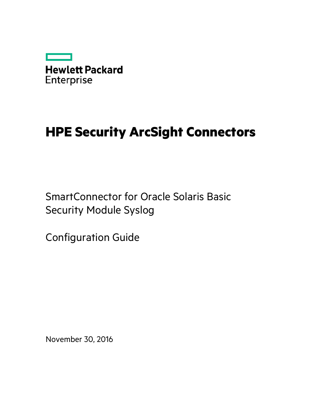

# **HPE Security ArcSight Connectors**

SmartConnector for Oracle Solaris Basic Security Module Syslog

Configuration Guide

November 30, 2016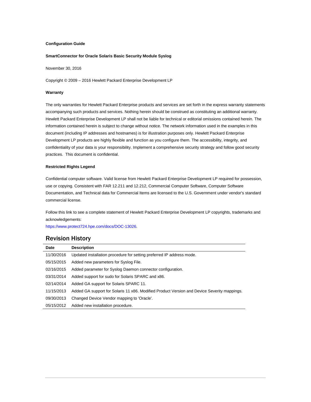#### **Configuration Guide**

#### **SmartConnector for Oracle Solaris Basic Security Module Syslog**

November 30, 2016

Copyright © 2009 – 2016 Hewlett Packard Enterprise Development LP

#### **Warranty**

The only warranties for Hewlett Packard Enterprise products and services are set forth in the express warranty statements accompanying such products and services. Nothing herein should be construed as constituting an additional warranty. Hewlett Packard Enterprise Development LP shall not be liable for technical or editorial omissions contained herein. The information contained herein is subject to change without notice. The network information used in the examples in this document (including IP addresses and hostnames) is for illustration purposes only. Hewlett Packard Enterprise Development LP products are highly flexible and function as you configure them. The accessibility, integrity, and confidentiality of your data is your responsibility. Implement a comprehensive security strategy and follow good security practices. This document is confidential.

#### **Restricted Rights Legend**

Confidential computer software. Valid license from Hewlett Packard Enterprise Development LP required for possession, use or copying. Consistent with FAR 12.211 and 12.212, Commercial Computer Software, Computer Software Documentation, and Technical data for Commercial Items are licensed to the U.S. Government under vendor's standard commercial license.

Follow this link to see a complete statement of Hewlett Packard Enterprise Development LP copyrights, trademarks and acknowledgements:

[https://www.protect724.hpe.com/docs/DOC-13026.](https://www.protect724.hpe.com/docs/DOC-13026)

## Revision History

| Date       | <b>Description</b>                                                                          |
|------------|---------------------------------------------------------------------------------------------|
| 11/30/2016 | Updated installation procedure for setting preferred IP address mode.                       |
| 05/15/2015 | Added new parameters for Syslog File.                                                       |
| 02/16/2015 | Added parameter for Syslog Daemon connector configuration.                                  |
| 03/31/2014 | Added support for sudo for Solaris SPARC and x86.                                           |
| 02/14/2014 | Added GA support for Solaris SPARC 11.                                                      |
| 11/15/2013 | Added GA support for Solaris 11 x86. Modified Product Version and Device Severity mappings. |
| 09/30/2013 | Changed Device Vendor mapping to 'Oracle'.                                                  |
| 05/15/2012 | Added new installation procedure.                                                           |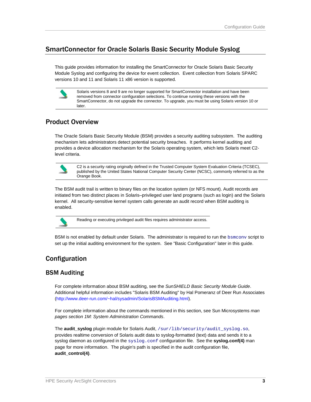# SmartConnector for Oracle Solaris Basic Security Module Syslog

This guide provides information for installing the SmartConnector for Oracle Solaris Basic Security Module Syslog and configuring the device for event collection. Event collection from Solaris SPARC versions 10 and 11 and Solaris 11 x86 version is supported.

> Solaris versions 8 and 9 are no longer supported for SmartConnector installation and have been removed from connector configuration selections. To continue running these versions with the SmartConnector, do not upgrade the connector. To upgrade, you must be using Solaris version 10 or later.

# Product Overview

The Oracle Solaris Basic Security Module (BSM) provides a security auditing subsystem. The auditing mechanism lets administrators detect potential security breaches. It performs kernel auditing and provides a device allocation mechanism for the Solaris operating system, which lets Solaris meet C2 level criteria.



C2 is a security rating originally defined in the Trusted Computer System Evaluation Criteria (TCSEC), published by the United States National Computer Security Center (NCSC), commonly referred to as the Orange Book.

The BSM audit trail is written to binary files on the location system (or NFS mount). Audit records are initiated from two distinct places in Solaris–privileged user land programs (such as login) and the Solaris kernel. All security-sensitive kernel system calls generate an audit record when BSM auditing is enabled.



Reading or executing privileged audit files requires administrator access.

BSM is not enabled by default under Solaris. The administrator is required to run the bsmconv script to set up the initial auditing environment for the system. See "Basic Configuration" later in this guide.

# Configuration

## BSM Auditing

For complete information about BSM auditing, see the *SunSHIELD Basic Security Module Guide*. Additional helpful information includes "Solaris BSM Auditing" by Hal Pomeranz of Deer Run Associates [\(http://www.deer-run.com/~hal/sysadmin/SolarisBSMAuditing.html\)](http://www.deer-run.com/%7Ehal/sysadmin/SolarisBSMAuditing.html).

For complete information about the commands mentioned in this section, see Sun Microsystems *man pages section 1M: System Administration Commands*.

The **audit\_syslog** plugin module for Solaris Audit, /sur/lib/security/audit\_syslog.so, provides realtime conversion of Solaris audit data to syslog-formatted (text) data and sends it to a syslog daemon as configured in the syslog.conf configuration file. See the **syslog.conf(4)** man page for more information. The plugin's path is specified in the audit configuration file, **audit\_control(4)**.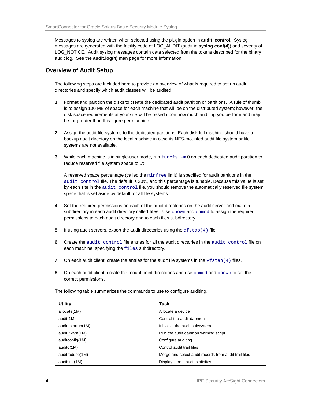Messages to syslog are written when selected using the plugin option in **audit\_control**. Syslog messages are generated with the facility code of LOG\_AUDIT (audit in **syslog.conf(4)**) and severity of LOG\_NOTICE. Audit syslog messages contain data selected from the tokens described for the binary audit log. See the **audit.log(4)** man page for more information.

#### Overview of Audit Setup

The following steps are included here to provide an overview of what is required to set up audit directories and specify which audit classes will be audited.

- **1** Format and partition the disks to create the dedicated audit partition or partitions. A rule of thumb is to assign 100 MB of space for each machine that will be on the distributed system; however, the disk space requirements at your site will be based upon how much auditing you perform and may be far greater than this figure per machine.
- **2** Assign the audit file systems to the dedicated partitions. Each disk full machine should have a backup audit directory on the local machine in case its NFS-mounted audit file system or file systems are not available.
- **3** While each machine is in single-user mode, run tunefs -m 0 on each dedicated audit partition to reduce reserved file system space to 0%.

A reserved space percentage (called the minfree limit) is specified for audit partitions in the audit\_control file. The default is 20%, and this percentage is tunable. Because this value is set by each site in the audit\_control file, you should remove the automatically reserved file system space that is set aside by default for all file systems.

- **4** Set the required permissions on each of the audit directories on the audit server and make a subdirectory in each audit directory called **files**. Use chown and chmod to assign the required permissions to each audit directory and to each files subdirectory.
- **5** If using audit servers, export the audit directories using the dfstab(4) file.
- **6** Create the audit\_control file entries for all the audit directories in the audit\_control file on each machine, specifying the files subdirectory.
- **7** On each audit client, create the entries for the audit file systems in the  $v$  f stab(4) files.
- **8** On each audit client, create the mount point directories and use chmod and chown to set the correct permissions.

The following table summarizes the commands to use to configure auditing.

| <b>Utility</b>    | Task                                                  |
|-------------------|-------------------------------------------------------|
| allocate(1M)      | Allocate a device                                     |
| audit(1M)         | Control the audit daemon                              |
| audit_startup(1M) | Initialize the audit subsystem                        |
| audit warn(1M)    | Run the audit daemon warning script                   |
| auditconfig(1M)   | Configure auditing                                    |
| auditd(1M)        | Control audit trail files                             |
| auditreduce(1M)   | Merge and select audit records from audit trail files |
| auditstat(1M)     | Display kernel audit statistics                       |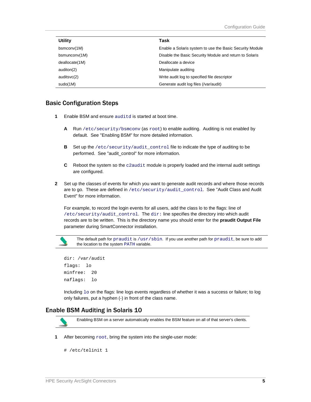| <b>Utility</b>      | Task                                                     |
|---------------------|----------------------------------------------------------|
| bsmconv(1M)         | Enable a Solaris system to use the Basic Security Module |
| $b$ smuncon $v(1M)$ | Disable the Basic Security Module and return to Solaris  |
| deallocate(1M)      | Deallocate a device                                      |
| auditon(2)          | Manipulate auditing                                      |
| auditsvc(2)         | Write audit log to specified file descriptor             |
| sudo(1M)            | Generate audit log files (/var/audit)                    |

#### Basic Configuration Steps

- **1** Enable BSM and ensure auditd is started at boot time.
	- **A** Run /etc/security/bsmconv (as root) to enable auditing. Auditing is not enabled by default. See "Enabling BSM" for more detailed information.
	- **B** Set up the /etc/security/audit\_control file to indicate the type of auditing to be performed. See "audit\_control" for more information.
	- **C** Reboot the system so the c2audit module is properly loaded and the internal audit settings are configured.
- **2** Set up the classes of events for which you want to generate audit records and where those records are to go. These are defined in /etc/security/audit\_control. See "Audit Class and Audit Event" for more information.

For example, to record the login events for all users, add the class lo to the flags: line of /etc/security/audit\_control. The dir: line specifies the directory into which audit records are to be written. This is the directory name you should enter for the **praudit Output File** parameter during SmartConnector installation.



The default path for praudit is /usr/sbin. If you use another path for praudit, be sure to add the location to the system PATH variable.

```
dir: /var/audit 
flags: lo 
minfree: 20 
naflags: lo
```
Including  $1\circ$  on the flags: line logs events regardless of whether it was a success or failure; to log only failures, put a hyphen (-) in front of the class name.

#### Enable BSM Auditing in Solaris 10



Enabling BSM on a server automatically enables the BSM feature on all of that server's clients.

**1** After becoming  $root$ , bring the system into the single-user mode:

```
# /etc/telinit 1
```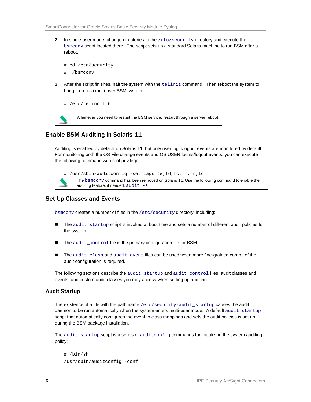**2** In single-user mode, change directories to the /etc/security directory and execute the bsmconv script located there. The script sets up a standard Solaris machine to run BSM after a reboot.

```
# cd /etc/security 
# ./bsmconv
```
**3** After the script finishes, halt the system with the telinit command. Then reboot the system to bring it up as a multi-user BSM system.

```
# /etc/telinnit 6
```


Whenever you need to restart the BSM service, restart through a server reboot.

# Enable BSM Auditing in Solaris 11

Auditing is enabled by default on Solaris 11, but only user login/logout events are monitored by default. For monitoring both the OS File change events and OS USER logins/logout events, you can execute the following command with root privilege:



The bsmconv command has been removed on Solaris 11. Use the following command to enable the auditing feature, if needed:  $audit -s$ 

## Set Up Classes and Events

bsmconv creates a number of files in the /etc/security directory, including:

- The audit\_startup script is invoked at boot time and sets a number of different audit policies for the system.
- The audit\_control file is the primary configuration file for BSM.
- The audit\_class and audit\_event files can be used when more fine-grained control of the audit configuration is required.

The following sections describe the audit\_startup and audit\_control files, audit classes and events, and custom audit classes you may access when setting up auditing.

#### Audit Startup

The existence of a file with the path name /etc/security/audit\_startup causes the audit daemon to be run automatically when the system enters multi-user mode. A default audit\_startup script that automatically configures the event to class mappings and sets the audit policies is set up during the BSM package installation.

The audit\_startup script is a series of auditconfig commands for initializing the system auditing policy:

```
#!/bin/sh 
/usr/sbin/auditconfig -conf
```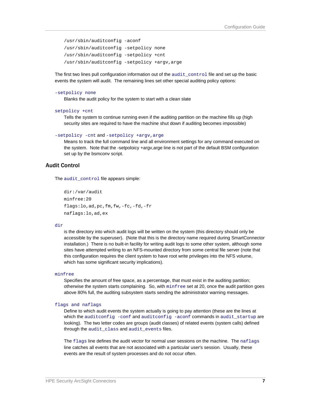```
/usr/sbin/auditconfig -aconf 
/usr/sbin/auditconfig -setpolicy none 
/usr/sbin/auditconfig -setpolicy +cnt 
/usr/sbin/auditconfig -setpolicy +argv,arge
```
The first two lines pull configuration information out of the audit control file and set up the basic events the system will audit. The remaining lines set other special auditing policy options:

#### -setpolicy none

Blanks the audit policy for the system to start with a clean slate

```
setpolicy +cnt
```
Tells the system to continue running even if the auditing partition on the machine fills up (high security sites are required to have the machine shut down if auditing becomes impossible)

```
-setpolicy -cnt and -setpolicy +argv,arge
```
Means to track the full command line and all environment settings for any command executed on the system. Note that the -setpoloicy +argv,arge line is not part of the default BSM configuration set up by the bsmconv script.

#### Audit Control

The audit control file appears simple:

```
dir:/var/audit 
minfree:20 
flags:lo,ad,pc,fm,fw,-fc,-fd,-fr 
naflags:lo,ad,ex
```
#### dir

is the directory into which audit logs will be written on the system (this directory should only be accessible by the superuser). (Note that this is the directory name required during SmartConnector installation.) There is no built-in facility for writing audit logs to some other system, although some sites have attempted writing to an NFS-mounted directory from some central file server (note that this configuration requires the client system to have root write privileges into the NFS volume, which has some significant security implications).

#### minfree

Specifies the amount of free space, as a percentage, that must exist in the auditing partition; otherwise the system starts complaining. So, with minfree set at 20, once the audit partition goes above 80% full, the auditing subsystem starts sending the administrator warning messages.

#### flags and naflags

Define to which audit events the system actually is going to pay attention (these are the lines at which the auditconfig -conf and auditconfig -aconf commands in audit\_startup are looking). The two letter codes are groups (audit classes) of related events (system calls) defined through the audit\_class and audit\_events files.

The flags line defines the audit vector for normal user sessions on the machine. The naflags line catches all events that are not associated with a particular user's session. Usually, these events are the result of system processes and do not occur often.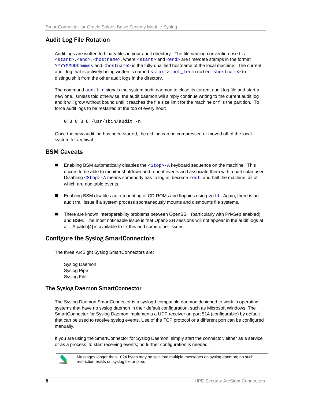# Audit Log File Rotation

Audit logs are written to binary files in your audit directory. The file naming convention used is <start>.<end>.<hostname>, where <start> and <end> are time/date stamps in the format YYYYMMDDhhmmss and <hostname> is the fully-qualified hostname of the local machine. The current audit log that is actively being written is named <start>.not\_terminated.<hostname> to distinguish it from the other audit logs in the directory.

The command  $audit-n$  signals the system audit daemon to close its current audit log file and start a new one. Unless told otherwise, the audit daemon will simply continue writing to the current audit log and it will grow without bound until it reaches the file size limit for the machine or fills the partition. To force audit logs to be restarted at the top of every hour:

0 8 8 8 8 /usr/sbin/audit -n

Once the new audit log has been started, the old log can be compressed or moved off of the local system for archival.

## BSM Caveats

- **Enabling BSM automatically disables the**  $<$  **Stop>-A keyboard sequence on the machine. This** occurs to be able to monitor shutdown and reboot events and associate them with a particular user. Disabling <Stop>-A means somebody has to log in, become root, and halt the machine, all of which are auditable events.
- **Enabling BSM disables auto-mounting of CD-ROMs and floppies using**  $\text{vold}$ **. Again, there is an** audit trail issue if a system process spontaneously mounts and dismounts file systems.
- There are known interoperability problems between OpenSSH (particularly with PrivSep enabled) and BSM. The most noticeable issue is that OpenSSH sessions will not appear in the audit logs at all. A patch[4] is available to fix this and some other issues.

## Configure the Syslog SmartConnectors

The three ArcSight Syslog SmartConnectors are:

Syslog Daemon Syslog Pipe Syslog File

#### The Syslog Daemon SmartConnector

The Syslog Daemon SmartConnector is a syslogd-compatible daemon designed to work in operating systems that have no syslog daemon in their default configuration, such as Microsoft Windows. The SmartConnector for Syslog Daemon implements a UDP receiver on port 514 (configurable) by default that can be used to receive syslog events. Use of the TCP protocol or a different port can be configured manually.

If you are using the SmartConnector for Syslog Daemon, simply start the connector, either as a service or as a process, to start receiving events; no further configuration is needed.



Messages longer than 1024 bytes may be split into multiple messages on syslog daemon; no such restriction exists on syslog file or pipe.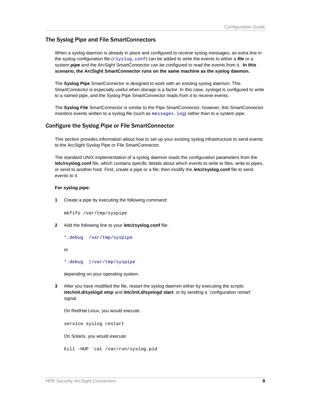#### The Syslog Pipe and File SmartConnectors

When a syslog daemon is already in place and configured to receive syslog messages, an extra line in the syslog configuration file (xsyslog.conf) can be added to write the events to either a *file* or a system *pipe* and the ArcSight SmartConnector can be configured to read the events from it. **In this scenario, the ArcSight SmartConnector runs on the same machine as the syslog daemon.**

The **Syslog Pipe** SmartConnector is designed to work with an existing syslog daemon. This SmartConnector is especially useful when storage is a factor. In this case, syslogd is configured to write to a named pipe, and the Syslog Pipe SmartConnector reads from it to receive events.

The **Syslog File** SmartConnector is similar to the Pipe SmartConnector; however, this SmartConnector monitors events written to a syslog file (such as messages. log) rather than to a system pipe.

#### Configure the Syslog Pipe or File SmartConnector

This section provides information about how to set up your existing syslog infrastructure to send events to the ArcSight Syslog Pipe or File SmartConnector.

The standard UNIX implementation of a syslog daemon reads the configuration parameters from the **/etc/rsyslog.conf** file, which contains specific details about which events to write to files, write to pipes, or send to another host. First, create a pipe or a file; then modify the **/etc/rsyslog.conf** file to send events to it.

#### **For syslog pipe:**

**1** Create a pipe by executing the following command:

mkfifo /var/tmp/syspipe

- **2** Add the following line to your **/etc/rsyslog.conf** file:
	- \*.debug /var/tmp/syspipe

or

\*.debug |/var/tmp/syspipe

depending on your operating system.

**3** After you have modified the file, restart the syslog daemon either by executing the scripts **/etc/init.d/syslogd stop** and **/etc/init.d/syslogd start**, or by sending a `configuration restart` signal.

On RedHat Linux, you would execute:

service syslog restart

On Solaris, you would execute:

kill -HUP `cat /var/run/syslog.pid´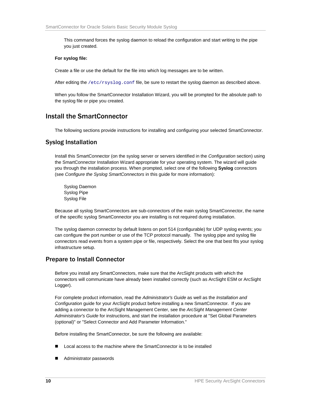This command forces the syslog daemon to reload the configuration and start writing to the pipe you just created.

#### **For syslog file:**

Create a file or use the default for the file into which log messages are to be written.

After editing the /etc/rsyslog.conf file, be sure to restart the syslog daemon as described above.

When you follow the SmartConnector Installation Wizard, you will be prompted for the absolute path to the syslog file or pipe you created.

# Install the SmartConnector

The following sections provide instructions for installing and configuring your selected SmartConnector.

## Syslog Installation

Install this SmartConnector (on the syslog server or servers identified in the *Configuration* section) using the SmartConnector Installation Wizard appropriate for your operating system. The wizard will guide you through the installation process. When prompted, select one of the following **Syslog** connectors (see *Configure the Syslog SmartConnectors* in this guide for more information):

Syslog Daemon Syslog Pipe Syslog File

Because all syslog SmartConnectors are sub-connectors of the main syslog SmartConnector, the name of the specific syslog SmartConnector you are installing is not required during installation.

The syslog daemon connector by default listens on port 514 (configurable) for UDP syslog events; you can configure the port number or use of the TCP protocol manually. The syslog pipe and syslog file connectors read events from a system pipe or file, respectively. Select the one that best fits your syslog infrastructure setup.

## Prepare to Install Connector

Before you install any SmartConnectors, make sure that the ArcSight products with which the connectors will communicate have already been installed correctly (such as ArcSight ESM or ArcSight Logger).

For complete product information, read the *Administrator's Guide* as well as the *Installation and Configuration* guide for your ArcSight product before installing a new SmartConnector. If you are adding a connector to the ArcSight Management Center, see the *ArcSight Management Center Administrator's Guide* for instructions, and start the installation procedure at "Set Global Parameters (optional)" or "Select Connector and Add Parameter Information."

Before installing the SmartConnector, be sure the following are available:

- Local access to the machine where the SmartConnector is to be installed
- Administrator passwords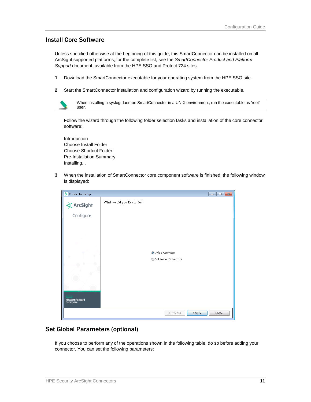## Install Core Software

Unless specified otherwise at the beginning of this guide, this SmartConnector can be installed on all ArcSight supported platforms; for the complete list, see the *SmartConnector Product and Platform Support* document, available from the HPE SSO and Protect 724 sites.

- **1** Download the SmartConnector executable for your operating system from the HPE SSO site.
- **2** Start the SmartConnector installation and configuration wizard by running the executable.



Follow the wizard through the following folder selection tasks and installation of the core connector software:

Introduction Choose Install Folder Choose Shortcut Folder Pre-Installation Summary Installing...

**3** When the installation of SmartConnector core component software is finished, the following window is displayed:

| <b>EX</b> Connector Setup            | $\begin{array}{c c c c c c} \hline \multicolumn{3}{c }{\mathbf{C}} & \multicolumn{3}{c }{\mathbf{R}} \end{array}$ |
|--------------------------------------|-------------------------------------------------------------------------------------------------------------------|
| $\bigstar$ ArcSight                  | What would you like to do?                                                                                        |
| Configure                            |                                                                                                                   |
|                                      |                                                                                                                   |
|                                      |                                                                                                                   |
|                                      |                                                                                                                   |
|                                      |                                                                                                                   |
|                                      | a Add a Connector                                                                                                 |
|                                      | Set Global Parameters<br>⋒                                                                                        |
|                                      |                                                                                                                   |
|                                      |                                                                                                                   |
|                                      |                                                                                                                   |
|                                      |                                                                                                                   |
| <b>Hewlett Packard</b><br>Enterprise |                                                                                                                   |
|                                      | Cancel<br>Next<br>< Previous                                                                                      |

## Set Global Parameters (optional)

If you choose to perform any of the operations shown in the following table, do so before adding your connector. You can set the following parameters: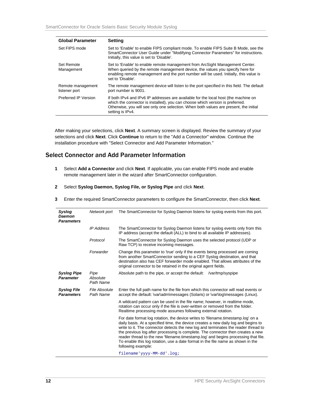| <b>Global Parameter</b>            | <b>Setting</b>                                                                                                                                                                                                                                                                    |
|------------------------------------|-----------------------------------------------------------------------------------------------------------------------------------------------------------------------------------------------------------------------------------------------------------------------------------|
| Set FIPS mode                      | Set to 'Enable' to enable FIPS compliant mode. To enable FIPS Suite B Mode, see the<br>SmartConnector User Guide under "Modifying Connector Parameters" for instructions.<br>Initially, this value is set to 'Disable'.                                                           |
| Set Remote<br>Management           | Set to 'Enable' to enable remote management from ArcSight Management Center.<br>When queried by the remote management device, the values you specify here for<br>enabling remote management and the port number will be used. Initially, this value is<br>set to 'Disable'.       |
| Remote management<br>listener port | The remote management device will listen to the port specified in this field. The default<br>port number is 9001.                                                                                                                                                                 |
| Preferred IP Version               | If both IPv4 and IPv6 IP addresses are available for the local host (the machine on<br>which the connector is installed), you can choose which version is preferred.<br>Otherwise, you will see only one selection. When both values are present, the initial<br>setting is IPv4. |

After making your selections, click **Next**. A summary screen is displayed. Review the summary of your selections and click **Next**. Click **Continue** to return to the "Add a Connector" window. Continue the installation procedure with "Select Connector and Add Parameter Information."

## Select Connector and Add Parameter Information

**1** Select **Add a Connector** and click **Next**. If applicable, you can enable FIPS mode and enable remote management later in the wizard after SmartConnector configuration.

#### **2** Select **Syslog Daemon, Syslog File, or Syslog Pipe** and click **Next**.

**3** Enter the required SmartConnector parameters to configure the SmartConnector, then click **Next**.

| Syslog<br>Daemon<br><b>Parameters</b>   | Network port                  | The SmartConnector for Syslog Daemon listens for syslog events from this port.                                                                                                                                                                                                                                                                                                                                                                                                                                                                 |
|-----------------------------------------|-------------------------------|------------------------------------------------------------------------------------------------------------------------------------------------------------------------------------------------------------------------------------------------------------------------------------------------------------------------------------------------------------------------------------------------------------------------------------------------------------------------------------------------------------------------------------------------|
|                                         | <b>IP Address</b>             | The SmartConnector for Syslog Daemon listens for syslog events only from this<br>IP address (accept the default (ALL) to bind to all available IP addresses).                                                                                                                                                                                                                                                                                                                                                                                  |
|                                         | Protocol                      | The SmartConnector for Syslog Daemon uses the selected protocol (UDP or<br>Raw TCP) to receive incoming messages.                                                                                                                                                                                                                                                                                                                                                                                                                              |
|                                         | Forwarder                     | Change this parameter to 'true' only if the events being processed are coming<br>from another SmartConnector sending to a CEF Syslog destination, and that<br>destination also has CEF forwarder mode enabled. That allows attributes of the<br>original connector to be retained in the original agent fields.                                                                                                                                                                                                                                |
| <b>Syslog Pipe</b><br><b>Parameter</b>  | Pipe<br>Absolute<br>Path Name | Absolute path to the pipe, or accept the default: /var/tmp/syspipe                                                                                                                                                                                                                                                                                                                                                                                                                                                                             |
| <b>Syslog File</b><br><b>Parameters</b> | File Absolute<br>Path Name    | Enter the full path name for the file from which this connector will read events or<br>accept the default: \var\adm\messages (Solaris) or \var\log\messages (Linux).                                                                                                                                                                                                                                                                                                                                                                           |
|                                         |                               | A wildcard pattern can be used in the file name; however, in realtime mode,<br>rotation can occur only if the file is over-written or removed from the folder.<br>Realtime processing mode assumes following external rotation.                                                                                                                                                                                                                                                                                                                |
|                                         |                               | For date format log rotation, the device writes to 'filename.timestamp.log' on a<br>daily basis. At a specified time, the device creates a new daily log and begins to<br>write to it. The connector detects the new log and terminates the reader thread to<br>the previous log after processing is complete. The connector then creates a new<br>reader thread to the new 'filename.timestamp.log' and begins processing that file.<br>To enable this log rotation, use a date format in the file name as shown in the<br>following example: |
|                                         |                               | filename'yyyy-MM-dd'.log;                                                                                                                                                                                                                                                                                                                                                                                                                                                                                                                      |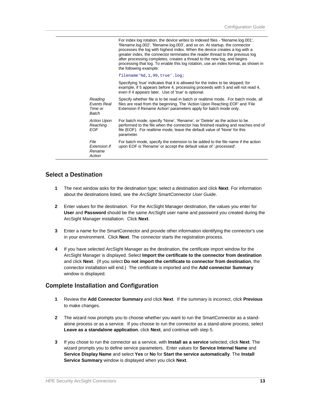|                                            | For index log rotation, the device writes to indexed files - 'filename.log.001',<br>'filename.log.002', 'filename.log.003', and so on. At startup, the connector<br>processes the log with highest index. When the device creates a log with a<br>greater index, the connector terminates the reader thread to the previous log<br>after processing completes, creates a thread to the new log, and begins<br>processing that log. To enable this log rotation, use an index format, as shown in<br>the following example: |
|--------------------------------------------|----------------------------------------------------------------------------------------------------------------------------------------------------------------------------------------------------------------------------------------------------------------------------------------------------------------------------------------------------------------------------------------------------------------------------------------------------------------------------------------------------------------------------|
|                                            | filename'%d,1,99,true'.log;                                                                                                                                                                                                                                                                                                                                                                                                                                                                                                |
|                                            | Specifying 'true' indicates that it is allowed for the index to be skipped; for<br>example, if 5 appears before 4, processing proceeds with 5 and will not read 4,<br>even if 4 appears later. Use of 'true' is optional.                                                                                                                                                                                                                                                                                                  |
| Reading<br>Events Real<br>Time or<br>Batch | Specify whether file is to be read in batch or realtime mode. For batch mode, all<br>files are read from the beginning. The 'Action Upon Reaching EOF' and 'File<br>Extension if Rename Action' parameters apply for batch mode only.                                                                                                                                                                                                                                                                                      |
| <b>Action Upon</b><br>Reaching<br>EOF      | For batch mode, specify 'None', 'Rename', or 'Delete' as the action to be<br>performed to the file when the connector has finished reading and reaches end of<br>file (EOF). For realtime mode, leave the default value of 'None' for this<br>parameter.                                                                                                                                                                                                                                                                   |
| File<br>Extension If<br>Rename<br>Action   | For batch mode, specify the extension to be added to the file name if the action<br>upon EOF is 'Rename' or accept the default value of '.processed'.                                                                                                                                                                                                                                                                                                                                                                      |

#### Select a Destination

- **1** The next window asks for the destination type; select a destination and click **Next**. For information about the destinations listed, see the *ArcSight SmartConnector User Guide*.
- **2** Enter values for the destination. For the ArcSight Manager destination, the values you enter for **User** and **Password** should be the same ArcSight user name and password you created during the ArcSight Manager installation. Click **Next**.
- **3** Enter a name for the SmartConnector and provide other information identifying the connector's use in your environment. Click **Next**. The connector starts the registration process.
- **4** If you have selected ArcSight Manager as the destination, the certificate import window for the ArcSight Manager is displayed. Select **Import the certificate to the connector from destination** and click **Next**. (If you select **Do not import the certificate to connector from destination**, the connector installation will end.) The certificate is imported and the **Add connector Summary** window is displayed.

#### Complete Installation and Configuration

- **1** Review the **Add Connector Summary** and click **Next**. If the summary is incorrect, click **Previous** to make changes.
- **2** The wizard now prompts you to choose whether you want to run the SmartConnector as a standalone process or as a service. If you choose to run the connector as a stand-alone process, select **Leave as a standalone application**, click **Next**, and continue with step 5.
- **3** If you chose to run the connector as a service, with **Install as a service** selected, click **Next**. The wizard prompts you to define service parameters. Enter values for **Service Internal Name** and **Service Display Name** and select **Yes** or **No** for **Start the service automatically**. The **Install Service Summary** window is displayed when you click **Next**.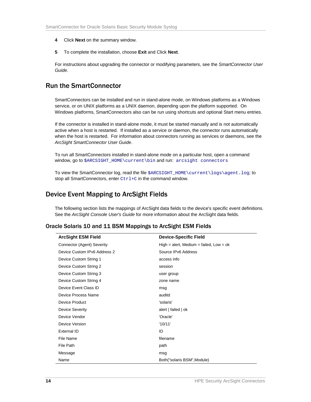- **4** Click **Next** on the summary window.
- **5** To complete the installation, choose **Exit** and Click **Next**.

For instructions about upgrading the connector or modifying parameters, see the *SmartConnector User Guide*.

# Run the SmartConnector

SmartConnectors can be installed and run in stand-alone mode, on Windows platforms as a Windows service, or on UNIX platforms as a UNIX daemon, depending upon the platform supported. On Windows platforms, SmartConnectors also can be run using shortcuts and optional Start menu entries.

If the connector is installed in stand-alone mode, it must be started manually and is not automatically active when a host is restarted. If installed as a service or daemon, the connector runs automatically when the host is restarted. For information about connectors running as services or daemons, see the *ArcSight SmartConnector User Guide*.

To run all SmartConnectors installed in stand-alone mode on a particular host, open a command window, go to \$ARCSIGHT\_HOME\current\bin and run: arcsight connectors

To view the SmartConnector log, read the file \$ARCSIGHT\_HOME\current\logs\agent.log; to stop all SmartConnectors, enter Ctrl+C in the command window.

# Device Event Mapping to ArcSight Fields

The following section lists the mappings of ArcSight data fields to the device's specific event definitions. See the *ArcSight Console User's Guide* for more information about the ArcSight data fields.

#### Oracle Solaris 10 and 11 BSM Mappings to ArcSight ESM Fields

| <b>ArcSight ESM Field</b>    | <b>Device-Specific Field</b>              |
|------------------------------|-------------------------------------------|
| Connector (Agent) Severity   | High = alert, Medium = failed, $Low = ok$ |
| Device Custom IPv6 Address 2 | Source IPv6 Address                       |
| Device Custom String 1       | access info                               |
| Device Custom String 2       | session                                   |
| Device Custom String 3       | user group                                |
| Device Custom String 4       | zone name                                 |
| Device Event Class ID        | msq                                       |
| Device Process Name          | auditd                                    |
| Device Product               | 'solaris'                                 |
| <b>Device Severity</b>       | alert   failed   ok                       |
| Device Vendor                | 'Oracle'                                  |
| Device Version               | '10/11'                                   |
| External ID                  | ID                                        |
| File Name                    | filename                                  |
| File Path                    | path                                      |
| Message                      | msg                                       |
| Name                         | Both("solaris BSM", Module)               |